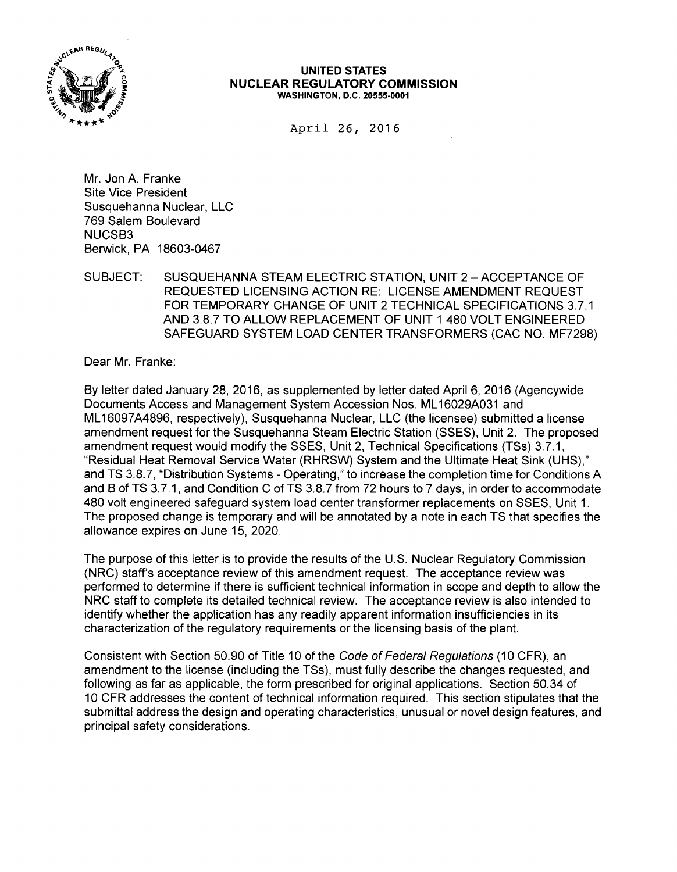

## **UNITED STATES NUCLEAR REGULATORY COMMISSION**  WASHINGTON, D.C. 20555-0001

April 26, 2016

Mr. Jon A. Franke Site Vice President Susquehanna Nuclear, LLC 769 Salem Boulevard NUCSB3 Berwick, PA 18603-0467

SUBJECT: SUSQUEHANNA STEAM ELECTRIC STATION, UNIT 2 - ACCEPTANCE OF REQUESTED LICENSING ACTION RE: LICENSE AMENDMENT REQUEST FOR TEMPORARY CHANGE OF UNIT 2 TECHNICAL SPECIFICATIONS 3.7.1 AND 3.8.7 TO ALLOW REPLACEMENT OF UNIT 1 480 VOLT ENGINEERED SAFEGUARD SYSTEM LOAD CENTER TRANSFORMERS (CAC NO. MF7298)

Dear Mr. Franke:

By letter dated January 28, 2016, as supplemented by letter dated April 6, 2016 (Agencywide Documents Access and Management System Accession Nos. ML 16029A031 and ML 16097A4896, respectively), Susquehanna Nuclear, LLC (the licensee) submitted a license amendment request for the Susquehanna Steam Electric Station (SSES), Unit 2. The proposed amendment request would modify the SSES, Unit 2, Technical Specifications (TSs) 3.7.1, "Residual Heat Removal Service Water (RHRSW) System and the Ultimate Heat Sink (UHS)," and TS 3.8.7, "Distribution Systems - Operating," to increase the completion time for Conditions A and B of TS 3.7.1, and Condition C of TS 3.8.7 from 72 hours to 7 days, in order to accommodate 480 volt engineered safeguard system load center transformer replacements on SSES, Unit 1. The proposed change is temporary and will be annotated by a note in each TS that specifies the allowance expires on June 15, 2020.

The purpose of this letter is to provide the results of the U.S. Nuclear Regulatory Commission (NRC) staff's acceptance review of this amendment request. The acceptance review was performed to determine if there is sufficient technical information in scope and depth to allow the NRC staff to complete its detailed technical review. The acceptance review is also intended to identify whether the application has any readily apparent information insufficiencies in its characterization of the regulatory requirements or the licensing basis of the plant.

Consistent with Section 50.90 of Title 10 of the Code of Federal Regulations (10 CFR), an amendment to the license (including the TSs), must fully describe the changes requested, and following as far as applicable, the form prescribed for original applications. Section 50.34 of 10 CFR addresses the content of technical information required. This section stipulates that the submittal address the design and operating characteristics, unusual or novel design features, and principal safety considerations.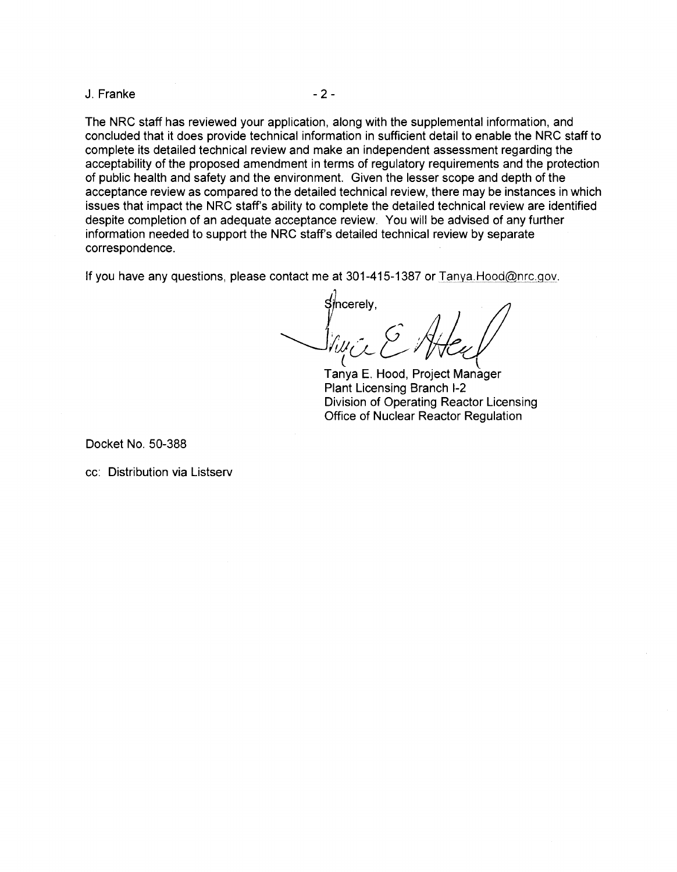J. Franke - 2 -

The NRC staff has reviewed your application, along with the supplemental information, and concluded that it does provide technical information in sufficient detail to enable the NRC staff to complete its detailed technical review and make an independent assessment regarding the acceptability of the proposed amendment in terms of regulatory requirements and the protection of public health and safety and the environment. Given the lesser scope and depth of the acceptance review as compared to the detailed technical review, there may be instances in which issues that impact the NRC staff's ability to complete the detailed technical review are identified despite completion of an adequate acceptance review. You will be advised of any further information needed to support the NRC staff's detailed technical review by separate correspondence.

If you have any questions, please contact me at  $301-415-1387$  or Tanya. Hood@nrc.gov.

 ${\mathsf S}$ /ncerely, -Siya & Atey  $\iota$ 

Tanya E. Hood, Project Manager Plant Licensing Branch 1-2 Division of Operating Reactor Licensing Office of Nuclear Reactor Regulation

Docket No. 50-388

cc: Distribution via Listserv